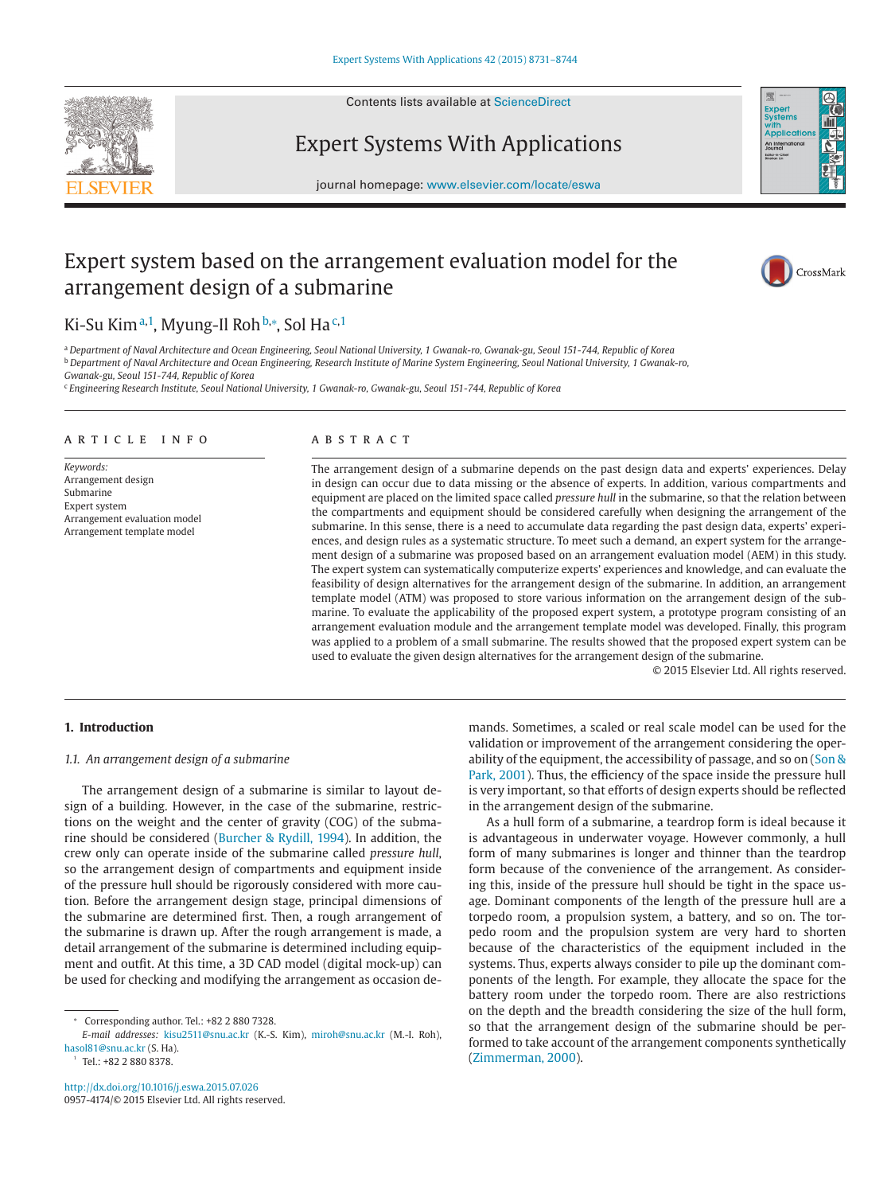Contents lists available at [ScienceDirect](http://www.ScienceDirect.com)







journal homepage: [www.elsevier.com/locate/eswa](http://www.elsevier.com/locate/eswa)

## Expert system based on the arrangement evaluation model for the arrangement design of a submarine



### Ki-Su Kim <sup>a,1</sup>, Myung-Il Roh b,\*, Sol Ha <sup>c,1</sup>

<sup>a</sup> *Department of Naval Architecture and Ocean Engineering, Seoul National University, 1 Gwanak-ro, Gwanak-gu, Seoul 151-744, Republic of Korea* <sup>b</sup> *Department of Naval Architecture and Ocean Engineering, Research Institute of Marine System Engineering, Seoul National University, 1 Gwanak-ro, Gwanak-gu, Seoul 151-744, Republic of Korea*

<sup>c</sup> *Engineering Research Institute, Seoul National University, 1 Gwanak-ro, Gwanak-gu, Seoul 151-744, Republic of Korea*

#### article info

*Keywords:* Arrangement design Submarine Expert system Arrangement evaluation model Arrangement template model

#### **ABSTRACT**

The arrangement design of a submarine depends on the past design data and experts' experiences. Delay in design can occur due to data missing or the absence of experts. In addition, various compartments and equipment are placed on the limited space called *pressure hull* in the submarine, so that the relation between the compartments and equipment should be considered carefully when designing the arrangement of the submarine. In this sense, there is a need to accumulate data regarding the past design data, experts' experiences, and design rules as a systematic structure. To meet such a demand, an expert system for the arrangement design of a submarine was proposed based on an arrangement evaluation model (AEM) in this study. The expert system can systematically computerize experts' experiences and knowledge, and can evaluate the feasibility of design alternatives for the arrangement design of the submarine. In addition, an arrangement template model (ATM) was proposed to store various information on the arrangement design of the submarine. To evaluate the applicability of the proposed expert system, a prototype program consisting of an arrangement evaluation module and the arrangement template model was developed. Finally, this program was applied to a problem of a small submarine. The results showed that the proposed expert system can be used to evaluate the given design alternatives for the arrangement design of the submarine.

© 2015 Elsevier Ltd. All rights reserved.

#### **1. Introduction**

#### *1.1. An arrangement design of a submarine*

The arrangement design of a submarine is similar to layout design of a building. However, in the case of the submarine, restrictions on the weight and the center of gravity (COG) of the submarine should be considered [\(Burcher & Rydill, 1994\)](#page--1-0). In addition, the crew only can operate inside of the submarine called *pressure hull*, so the arrangement design of compartments and equipment inside of the pressure hull should be rigorously considered with more caution. Before the arrangement design stage, principal dimensions of the submarine are determined first. Then, a rough arrangement of the submarine is drawn up. After the rough arrangement is made, a detail arrangement of the submarine is determined including equipment and outfit. At this time, a 3D CAD model (digital mock-up) can be used for checking and modifying the arrangement as occasion de-

1 Tel.: +82 2 880 8378.

mands. Sometimes, a scaled or real scale model can be used for the validation or improvement of the arrangement considering the oper[ability of the equipment, the accessibility of passage, and so on \(Son &](#page--1-0) Park, 2001). Thus, the efficiency of the space inside the pressure hull is very important, so that efforts of design experts should be reflected in the arrangement design of the submarine.

As a hull form of a submarine, a teardrop form is ideal because it is advantageous in underwater voyage. However commonly, a hull form of many submarines is longer and thinner than the teardrop form because of the convenience of the arrangement. As considering this, inside of the pressure hull should be tight in the space usage. Dominant components of the length of the pressure hull are a torpedo room, a propulsion system, a battery, and so on. The torpedo room and the propulsion system are very hard to shorten because of the characteristics of the equipment included in the systems. Thus, experts always consider to pile up the dominant components of the length. For example, they allocate the space for the battery room under the torpedo room. There are also restrictions on the depth and the breadth considering the size of the hull form, so that the arrangement design of the submarine should be performed to take account of the arrangement components synthetically [\(Zimmerman, 2000\)](#page--1-0).

<sup>∗</sup> Corresponding author. Tel.: +82 2 880 7328.

*E-mail addresses:* [kisu2511@snu.ac.kr](mailto:kisu2511@snu.ac.kr) (K.-S. Kim), [miroh@snu.ac.kr](mailto:miroh@snu.ac.kr) (M.-I. Roh), [hasol81@snu.ac.kr](mailto:hasol81@snu.ac.kr) (S. Ha).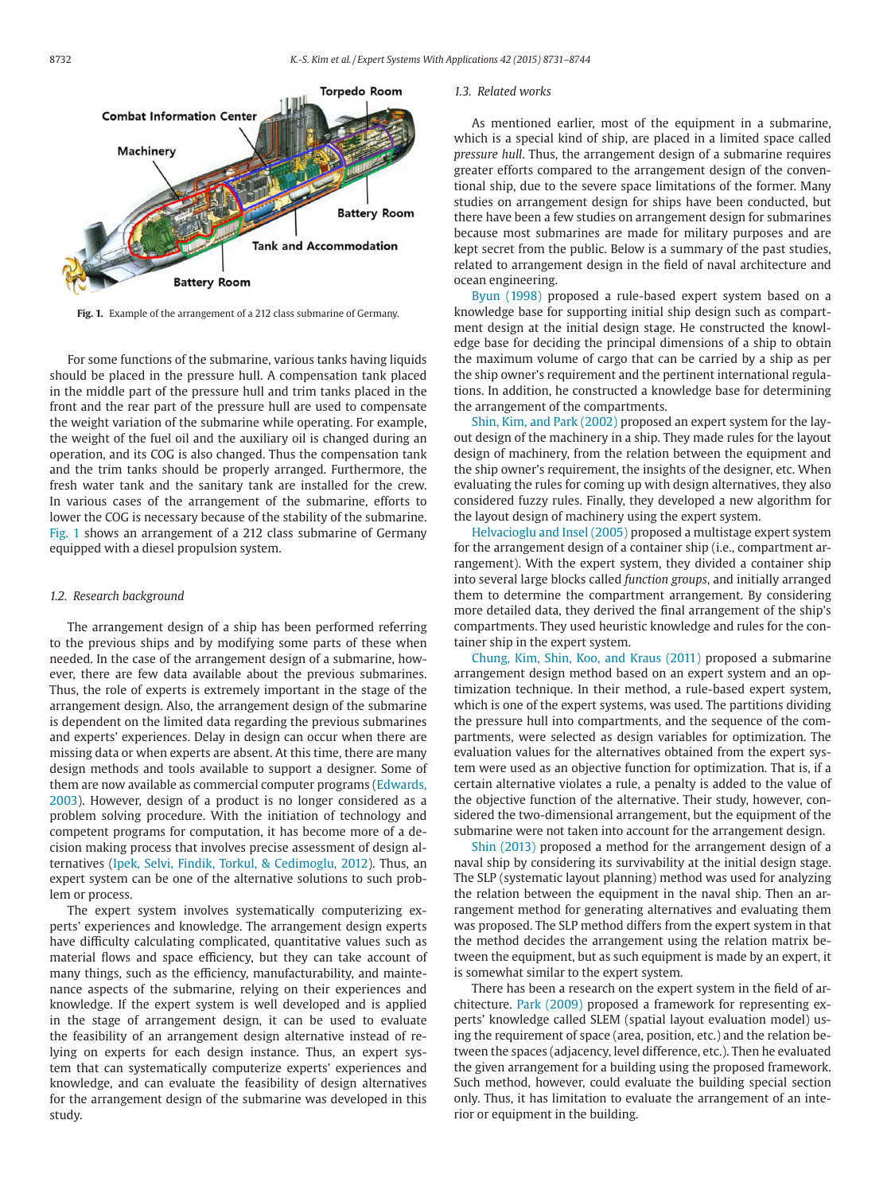

**Fig. 1.** Example of the arrangement of a 212 class submarine of Germany.

For some functions of the submarine, various tanks having liquids should be placed in the pressure hull. A compensation tank placed in the middle part of the pressure hull and trim tanks placed in the front and the rear part of the pressure hull are used to compensate the weight variation of the submarine while operating. For example, the weight of the fuel oil and the auxiliary oil is changed during an operation, and its COG is also changed. Thus the compensation tank and the trim tanks should be properly arranged. Furthermore, the fresh water tank and the sanitary tank are installed for the crew. In various cases of the arrangement of the submarine, efforts to lower the COG is necessary because of the stability of the submarine. Fig. 1 shows an arrangement of a 212 class submarine of Germany equipped with a diesel propulsion system.

#### *1.2. Research background*

The arrangement design of a ship has been performed referring to the previous ships and by modifying some parts of these when needed. In the case of the arrangement design of a submarine, however, there are few data available about the previous submarines. Thus, the role of experts is extremely important in the stage of the arrangement design. Also, the arrangement design of the submarine is dependent on the limited data regarding the previous submarines and experts' experiences. Delay in design can occur when there are missing data or when experts are absent. At this time, there are many design methods and tools available to support a designer. Some of [them are now available as commercial computer programs \(Edwards,](#page--1-0) 2003). However, design of a product is no longer considered as a problem solving procedure. With the initiation of technology and competent programs for computation, it has become more of a decision making process that involves precise assessment of design alternatives [\(Ipek, Selvi, Findik, Torkul, & Cedimoglu, 2012\)](#page--1-0). Thus, an expert system can be one of the alternative solutions to such problem or process.

The expert system involves systematically computerizing experts' experiences and knowledge. The arrangement design experts have difficulty calculating complicated, quantitative values such as material flows and space efficiency, but they can take account of many things, such as the efficiency, manufacturability, and maintenance aspects of the submarine, relying on their experiences and knowledge. If the expert system is well developed and is applied in the stage of arrangement design, it can be used to evaluate the feasibility of an arrangement design alternative instead of relying on experts for each design instance. Thus, an expert system that can systematically computerize experts' experiences and knowledge, and can evaluate the feasibility of design alternatives for the arrangement design of the submarine was developed in this study.

#### *1.3. Related works*

As mentioned earlier, most of the equipment in a submarine, which is a special kind of ship, are placed in a limited space called *pressure hull*. Thus, the arrangement design of a submarine requires greater efforts compared to the arrangement design of the conventional ship, due to the severe space limitations of the former. Many studies on arrangement design for ships have been conducted, but there have been a few studies on arrangement design for submarines because most submarines are made for military purposes and are kept secret from the public. Below is a summary of the past studies, related to arrangement design in the field of naval architecture and ocean engineering.

[Byun \(1998\)](#page--1-0) proposed a rule-based expert system based on a knowledge base for supporting initial ship design such as compartment design at the initial design stage. He constructed the knowledge base for deciding the principal dimensions of a ship to obtain the maximum volume of cargo that can be carried by a ship as per the ship owner's requirement and the pertinent international regulations. In addition, he constructed a knowledge base for determining the arrangement of the compartments.

[Shin, Kim, and Park \(2002\)](#page--1-0) proposed an expert system for the layout design of the machinery in a ship. They made rules for the layout design of machinery, from the relation between the equipment and the ship owner's requirement, the insights of the designer, etc. When evaluating the rules for coming up with design alternatives, they also considered fuzzy rules. Finally, they developed a new algorithm for the layout design of machinery using the expert system.

[Helvacioglu and Insel \(2005\)](#page--1-0) proposed a multistage expert system for the arrangement design of a container ship (i.e., compartment arrangement). With the expert system, they divided a container ship into several large blocks called *function groups*, and initially arranged them to determine the compartment arrangement. By considering more detailed data, they derived the final arrangement of the ship's compartments. They used heuristic knowledge and rules for the container ship in the expert system.

[Chung, Kim, Shin, Koo, and Kraus \(2011\)](#page--1-0) proposed a submarine arrangement design method based on an expert system and an optimization technique. In their method, a rule-based expert system, which is one of the expert systems, was used. The partitions dividing the pressure hull into compartments, and the sequence of the compartments, were selected as design variables for optimization. The evaluation values for the alternatives obtained from the expert system were used as an objective function for optimization. That is, if a certain alternative violates a rule, a penalty is added to the value of the objective function of the alternative. Their study, however, considered the two-dimensional arrangement, but the equipment of the submarine were not taken into account for the arrangement design.

[Shin \(2013\)](#page--1-0) proposed a method for the arrangement design of a naval ship by considering its survivability at the initial design stage. The SLP (systematic layout planning) method was used for analyzing the relation between the equipment in the naval ship. Then an arrangement method for generating alternatives and evaluating them was proposed. The SLP method differs from the expert system in that the method decides the arrangement using the relation matrix between the equipment, but as such equipment is made by an expert, it is somewhat similar to the expert system.

There has been a research on the expert system in the field of architecture. [Park \(2009\)](#page--1-0) proposed a framework for representing experts' knowledge called SLEM (spatial layout evaluation model) using the requirement of space (area, position, etc.) and the relation between the spaces (adjacency, level difference, etc.). Then he evaluated the given arrangement for a building using the proposed framework. Such method, however, could evaluate the building special section only. Thus, it has limitation to evaluate the arrangement of an interior or equipment in the building.